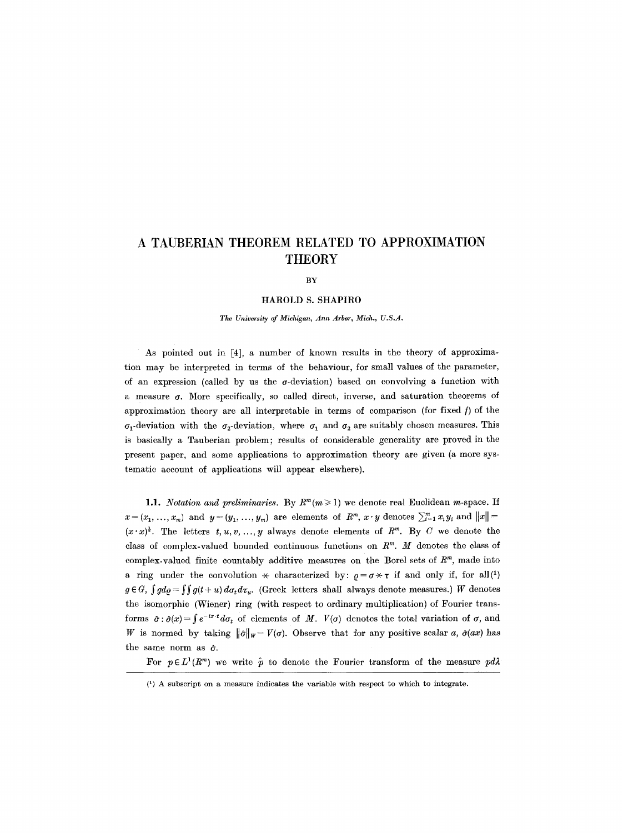# **A TAUBERIAN THEOREM RELATED TO APPROXIMATION THEORY**

BY

#### HAROLD S. SHAPIRO

*The University of Michigan, Ann Arbor, Mich., U.S.A.* 

As pointed out in [4], a number of known results in the theory of approximation may be interpreted in terms of the behaviour, for small values of the parameter, of an expression (called by us the  $\sigma$ -deviation) based on convolving a function with a measure  $\sigma$ . More specifically, so called direct, inverse, and saturation theorems of approximation theory are all interpretable in terms of comparison (for fixed  $f$ ) of the  $\sigma_1$ -deviation with the  $\sigma_2$ -deviation, where  $\sigma_1$  and  $\sigma_2$  are suitably chosen measures. This is basically a Tauberian problem; results of considerable generality are proved in the present paper, and some applications to approximation theory are given (a more systematic account of applications will appear elsewhere).

1.1. *Notation and preliminaries.* By  $R^m(m \geq 1)$  we denote real Euclidean m-space. If  $x = (x_1, \ldots, x_m)$  and  $y = (y_1, \ldots, y_m)$  are elements of  $R^m$ ,  $x \cdot y$  denotes  $\sum_{i=1}^m x_i y_i$  and  $||x|| =$  $(x \cdot x)^{\frac{1}{2}}$ . The letters  $t, u, v, ..., y$  always denote elements of  $R^m$ . By C we denote the class of complex-valued bounded continuous functions on  $R<sup>m</sup>$ . *M* denotes the class of complex-valued finite countably additive measures on the Borel sets of  $R<sup>m</sup>$ , made into a ring under the convolution  $\star$  characterized by:  $\rho = \sigma \star \tau$  if and only if, for all(1)  $g \in G$ ,  $\int g d\rho = \int \int g(t+u) d\sigma_t d\tau_u$ . (Greek letters shall always denote measures.) W denotes the isomorphic (Wiener) ring (with respect to ordinary multiplication) of Fourier transforms  $\hat{\sigma}$ :  $\hat{\sigma}(x)$  =  $\int e^{-ix \cdot t} d\sigma_t$  of elements of *M*.  $V(\sigma)$  denotes the total variation of  $\sigma$ , and W is normed by taking  $\|\hat{\sigma}\|_{w}= V(\sigma)$ . Observe that for any positive scalar *a*,  $\hat{\sigma}(ax)$  has the same norm as  $\hat{\sigma}$ .

For  $p \in L^1(R^m)$  we write  $\hat{p}$  to denote the Fourier transform of the measure  $pd\lambda$ 

<sup>(1)</sup> A subscript on a measure indicates the variable with respect to which to integrate.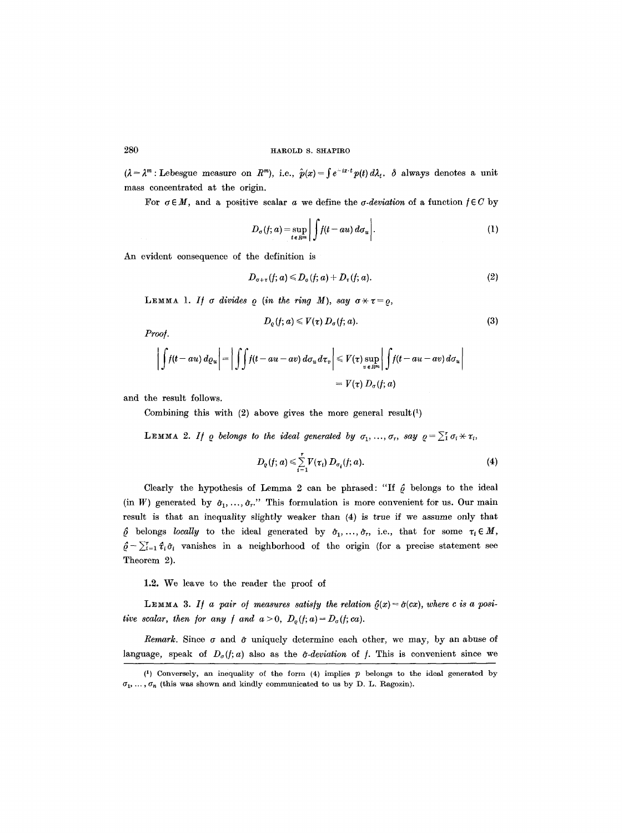$(\lambda = \lambda^m : \text{Lebesgue measure on } R^m)$ , i.e.,  $\hat{p}(x) = \int e^{-ix \cdot t} p(t) d\lambda_t$ .  $\delta$  always denotes a unit mass concentrated at the origin.

For  $\sigma \in M$ , and a positive scalar a we define the  $\sigma$ -deviation of a function  $f \in C$  by

$$
D_{\sigma}(f; a) = \sup_{t \in R^m} \left| \int f(t - au) d\sigma_u \right|.
$$
 (1)

An evident consequence of the definition is

$$
D_{\sigma+\tau}(f; a) \leq D_{\sigma}(f; a) + D_{\tau}(f; a). \tag{2}
$$

**LEMMA** 1. If  $\sigma$  divides  $\rho$  (in the ring M), say  $\sigma \times \tau = \rho$ ,

$$
D_{\varrho}(f; a) \leqslant V(\tau) D_{\sigma}(f; a). \tag{3}
$$

 $Proof.$ 

$$
\left| \int f(t - au) \, d\varrho_u \right| = \left| \int \int f(t - au - av) \, d\sigma_u \, d\tau_v \right| \leq V(\tau) \sup_{v \in R^m} \left| \int f(t - au - av) \, d\sigma_u \right|
$$
  
=  $V(\tau) D_{\sigma}(f; a)$ 

and the result follows.

Combining this with  $(2)$  above gives the more general result $(1)$ 

**LEMMA 2.** If  $\varrho$  belongs to the ideal generated by  $\sigma_1, \ldots, \sigma_r$ , say  $\varrho = \sum_i^r \sigma_i \times \tau_i$ ,

$$
D_{\varrho}(f; a) \leqslant \sum_{i=1}^{r} V(\tau_i) D_{\sigma_i}(f; a).
$$
 (4)

Clearly the hypothesis of Lemma 2 can be phrased: "If  $\hat{\rho}$  belongs to the ideal (in W) generated by  $\hat{\sigma}_1, \ldots, \hat{\sigma}_r$ ." This formulation is more convenient for us. Our main result is that an inequality slightly weaker than (4) is true if we assume only that  $\hat{\varrho}$  belongs *locally* to the ideal generated by  $\hat{\sigma}_1,\ldots,\hat{\sigma}_r$ , i.e., that for some  $\tau_i \in M$ ,  $\hat{\rho} - \sum_{i=1}^{r} \hat{\tau}_i \hat{\sigma}_i$  vanishes in a neighborhood of the origin (for a precise statement see Theorem 2).

1.2. We leave to the reader the proof of

LEMMA 3. If a pair of measures satisfy the relation  $\hat{g}(x) = \hat{\sigma}(cx)$ , where c is a posi*tive scalar, then for any f and*  $a > 0$ *,*  $D_{\varrho}(f; a) = D_{\varrho}(f; ca)$ *.* 

*Remark.* Since  $\sigma$  and  $\hat{\sigma}$  uniquely determine each other, we may, by an abuse of language, speak of  $D_{\sigma}(f; a)$  also as the  $\hat{\sigma}$ -deviation of f. This is convenient since we

 $(1)$  Conversely, an inequality of the form  $(4)$  implies  $p$  belongs to the ideal generated by  $\sigma_1, \ldots, \sigma_n$  (this was shown and kindly communicated to us by D. L. Ragozin).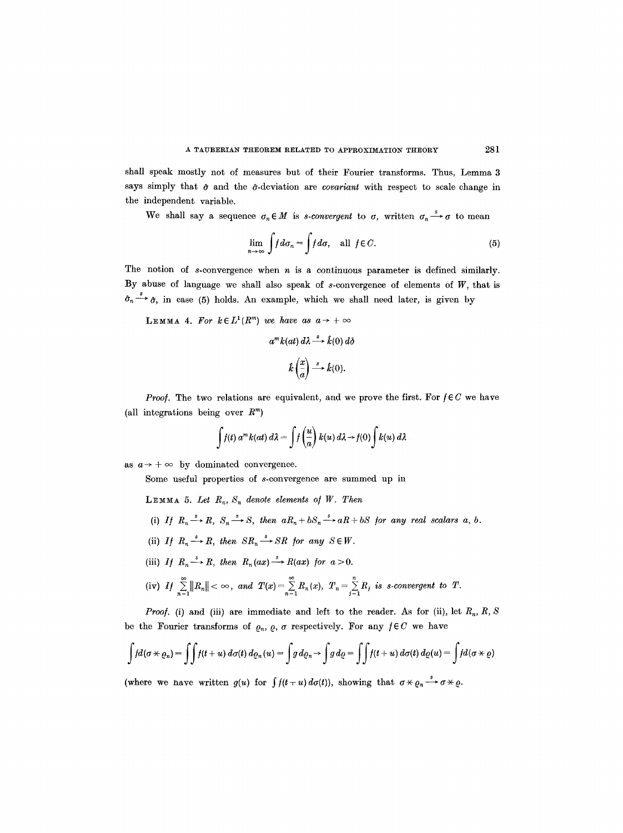shall speak mostly not of measures but of their Fourier transforms. Thus, Lemma 3 says simply that  $\hat{\sigma}$  and the  $\hat{\sigma}$ -deviation are *covariant* with respect to scale change in the independent variable.

We shall say a sequence  $\sigma_n \in M$  is *s-convergent* to  $\sigma$ , written  $\sigma_n \stackrel{s}{\rightarrow} \sigma$  to mean

$$
\lim_{n \to \infty} \int f d\sigma_n = \int f d\sigma, \quad \text{all } f \in C.
$$
 (5)

The notion of s-convergence when  $n$  is a continuous parameter is defined similarly. By abuse of language we shall also speak of  $s$ -convergence of elements of  $W$ , that is  $\hat{\sigma}_n \stackrel{s}{\longrightarrow} \hat{\sigma}$ , in case (5) holds. An example, which we shall need later, is given by

**LEMMA 4.** For  $k \in L^1(R^m)$  we have as  $a \to +\infty$ 

$$
a^{m}k(at) d\lambda \stackrel{s}{\longrightarrow} \hat{k}(0) d\delta
$$

$$
\hat{k} \left(\frac{x}{a}\right) \stackrel{s}{\longrightarrow} \hat{k}(0).
$$

*Proof.* The two relations are equivalent, and we prove the first. For  $f \in C$  we have (all integrations being over  $R^m$ )

$$
\int f(t) a^m k(at) d\lambda = \int f\left(\frac{u}{a}\right) k(u) d\lambda \rightarrow f(0) \int k(u) d\lambda
$$

as  $a \rightarrow +\infty$  by dominated convergence.

Some useful properties of s-convergence are summed up in

**LEMMA 5.** Let  $R_n$ ,  $S_n$  denote elements of W. Then

- (i) *If*  $R_n \xrightarrow{s} R$ ,  $S_n \xrightarrow{s} S$ , then  $aR_n + bS_n \xrightarrow{s} aR + bS$  for any real scalars a, b.
- (ii) *If*  $R_n \xrightarrow{s} R$ , then  $SR_n \xrightarrow{s} SR$  for any  $S \in W$ .
- (iii) *If*  $R_n \xrightarrow{s} R$ , then  $R_n(ax) \xrightarrow{s} R(ax)$  for  $a > 0$ .
- (iv) If  $\sum_{n=1}^{\infty}||R_n|| < \infty$ , and  $T(x) = \sum_{n=1}^{\infty}R_n(x)$ ,  $T_n = \sum_{j=1}^{\infty}R_j$  is s-convergent to  $T$ .

*Proof.* (i) and (iii) are immediate and left to the reader. As for (ii), let  $R_n$ , R, S be the Fourier transforms of  $\varrho_n$ ,  $\varrho$ ,  $\sigma$  respectively. For any  $f \in C$  we have

$$
\int f d(\sigma \times \varrho_n) = \int \int f(t+u) d\sigma(t) d\varrho_n(u) = \int g d\varrho_n \to \int g d\varrho = \int \int f(t+u) d\sigma(t) d\varrho(u) = \int f d(\sigma \times \varrho)
$$

(where we nave written  $g(u)$  for  $\int f(t+u) d\sigma(t)$ ), showing that  $\sigma \times \rho_n \stackrel{s}{\longrightarrow} \sigma \times \rho$ .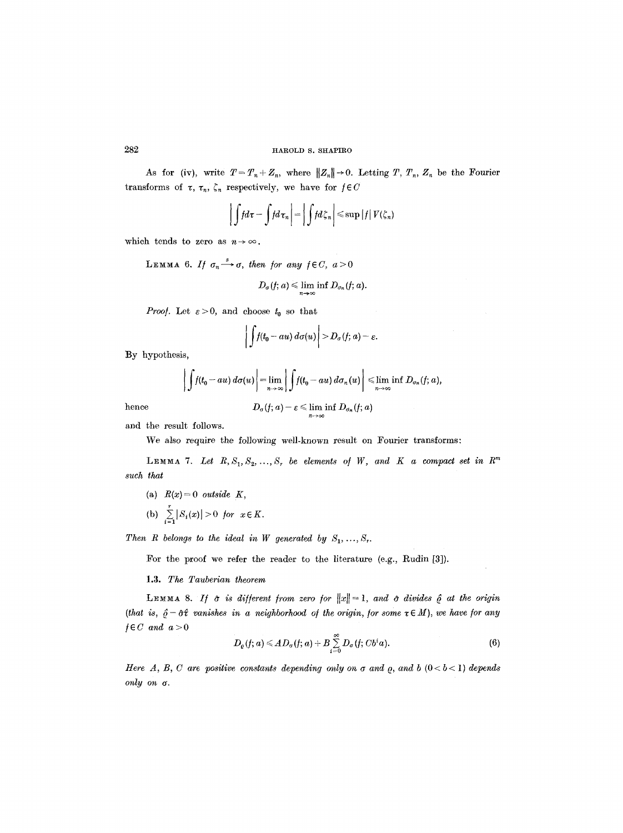As for (iv), write  $T=T_n+Z_n$ , where  $||Z_n||\rightarrow 0$ . Letting T,  $T_n$ ,  $Z_n$  be the Fourier transforms of  $\tau$ ,  $\tau_n$ ,  $\zeta_n$  respectively, we have for  $f \in C$ 

$$
\left|\int f d\tau - \int f d\tau_n\right| = \left|\int f d\zeta_n\right| \leqslant \sup |f| V(\zeta_n)
$$

which tends to zero as  $n \rightarrow \infty$ .

LEMMA 6. If  $\sigma_n \xrightarrow{s} \sigma$ , then for any  $f \in C$ ,  $a > 0$  $D_{\sigma}(f; a) \leq \lim_{n \to \infty} \inf D_{\sigma_n}(f; a).$ 

*Proof.* Let  $\varepsilon > 0$ , and choose  $t_0$  so that

$$
\bigg|\int f(t_0 - au)\,d\sigma(u)\bigg| > D_{\sigma}(f; a) - \varepsilon.
$$

By hypothesis,

$$
\left|\int f(t_0 - au)\,d\sigma(u)\right| = \lim_{n \to \infty} \left|\int f(t_0 - au)\,d\sigma_n(u)\right| \leq \lim_{n \to \infty} \inf D_{\sigma_n}(f; a),
$$
  
hence 
$$
D_{\sigma}(f; a) - \varepsilon \leq \liminf D_{\sigma_n}(f; a)
$$

$$
D_{\sigma}(f;\mathcal{a})- \varepsilon \leqslant \liminf_{n \rightarrow \infty} D_{\sigma_n}(f;\mathcal{a})
$$

and the result follows.

We also require the following well-known result on Fourier transforms:

LEMMA 7. Let  $R, S_1, S_2, ..., S_r$  be elements of W, and K a compact set in  $R^m$ *such that* 

- (a)  $R(x)=0$  *outside K*,
- (b)  $\sum_{i=1}^r |S_i(x)| > 0$  *for*  $x \in K$ .

*Then R belongs to the ideal in W generated by*  $S_1, \ldots, S_r$ .

For the proof we refer the reader to the literature (e.g., Rudin [3]).

#### 1.3. *The Tauberian theorem*

LEMMA 8. If  $\hat{\sigma}$  is different from zero for  $||x||=1$ , and  $\hat{\sigma}$  divides  $\hat{\rho}$  at the origin *(that is,*  $\hat{\varrho} - \hat{\sigma} \hat{\tau}$  *vanishes in a neighborhood of the origin, for some*  $\tau \in M$ ), we have for any  $f \in C$  and  $a > 0$ 

$$
D_{\varrho}(f; a) \leq A D_{\sigma}(f; a) + B \sum_{i=0}^{\infty} D_{\sigma}(f; C b^i a).
$$
 (6)

*Here A, B, C are positive constants depending only on*  $\sigma$  *and*  $\rho$ *, and*  $b$  *(0<br/> ) <i>depends*  $only on  $\sigma$ .$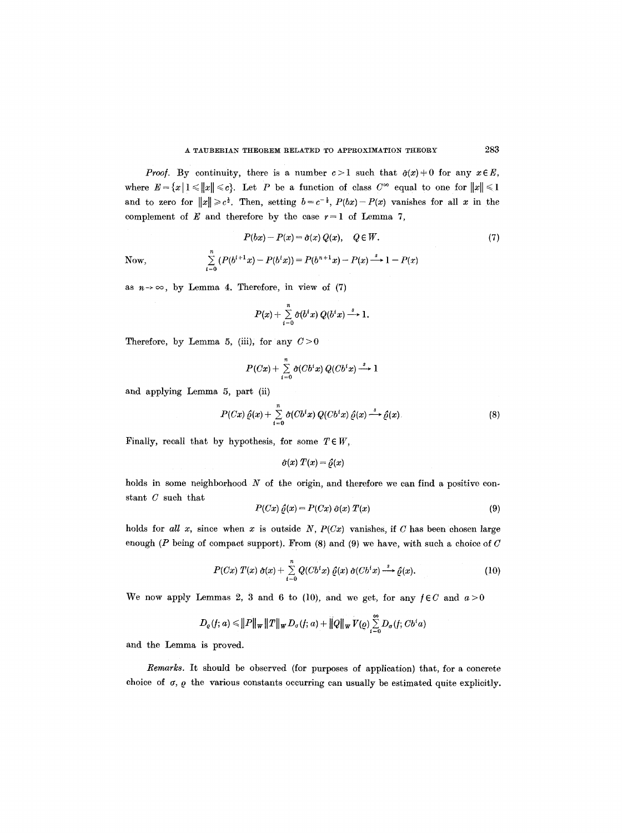*Proof.* By continuity, there is a number  $c>1$  such that  $\hat{\sigma}(x) \neq 0$  for any  $x \in E$ , where  $E = \{x | 1 \leqslant ||x|| \leqslant c\}$ . Let P be a function of class  $C^{\infty}$  equal to one for  $||x|| \leqslant 1$ and to zero for  $||x|| \ge c^{\frac{1}{2}}$ . Then, setting  $b = c^{-\frac{1}{2}}$ ,  $P(bx) - P(x)$  vanishes for all x in the complement of E and therefore by the case  $r = 1$  of Lemma 7,

$$
P(bx) - P(x) = \hat{\sigma}(x) Q(x), \quad Q \in W.
$$
 (7)

Now,  $\sum_{i=0} (P(b^{i+1}x) - P(b^ix)) = P(b^{n+1}x) - P(x) \rightarrow 1 - P(x)$ 

as  $n \rightarrow \infty$ , by Lemma 4. Therefore, in view of (7)

$$
P(x) + \sum_{i=0}^{n} \hat{\sigma}(b^i x) Q(b^i x) \stackrel{s}{\longrightarrow} 1.
$$

Therefore, by Lemma 5, (iii), for any  $C>0$ 

$$
P(Cx) + \sum_{i=0}^{n} \hat{\sigma}(Cb^i x) Q(Cb^i x) \stackrel{s}{\longrightarrow} 1
$$

and applying Lemma 5, part (ii)

$$
P(Cx)\hat{\varrho}(x) + \sum_{i=0}^{n} \hat{\sigma}(Cb^{i}x) Q(Cb^{i}x) \hat{\varrho}(x) \stackrel{s}{\longrightarrow} \hat{\varrho}(x).
$$
 (8)

Finally, recall that by hypothesis, for some  $T \in W$ ,

$$
\hat{\sigma}(x) \; T(x) = \hat{\varrho}(x)
$$

holds in some neighborhood  $N$  of the origin, and therefore we can find a positive constant C such that

$$
P(Cx) \hat{\varrho}(x) = P(Cx) \hat{\sigma}(x) T(x) \tag{9}
$$

holds for all x, since when x is outside  $N$ ,  $P(Cx)$  vanishes, if C has been chosen large enough ( $P$  being of compact support). From (8) and (9) we have, with such a choice of  $C$ 

$$
P(Cx) T(x) \hat{\sigma}(x) + \sum_{i=0}^{n} Q(Cb^{i}x) \hat{\varrho}(x) \hat{\sigma}(Cb^{i}x) \stackrel{s}{\longrightarrow} \hat{\varrho}(x).
$$
 (10)

We now apply Lemmas 2, 3 and 6 to (10), and we get, for any  $f \in C$  and  $a > 0$ 

$$
D_{\varrho}(f; a) \leq ||P||_{\mathbf{W}} ||T||_{\mathbf{W}} D_{\sigma}(f; a) + ||Q||_{\mathbf{W}} \, V(\varrho) \sum_{i=0}^{\infty} D_{\sigma}(f; Cb^{i}a)
$$

and the Lemma is proved.

*Remarks.* It should be observed (for purposes of application) that, for a concrete choice of  $\sigma$ ,  $\rho$  the various constants occurring can usually be estimated quite explicitly.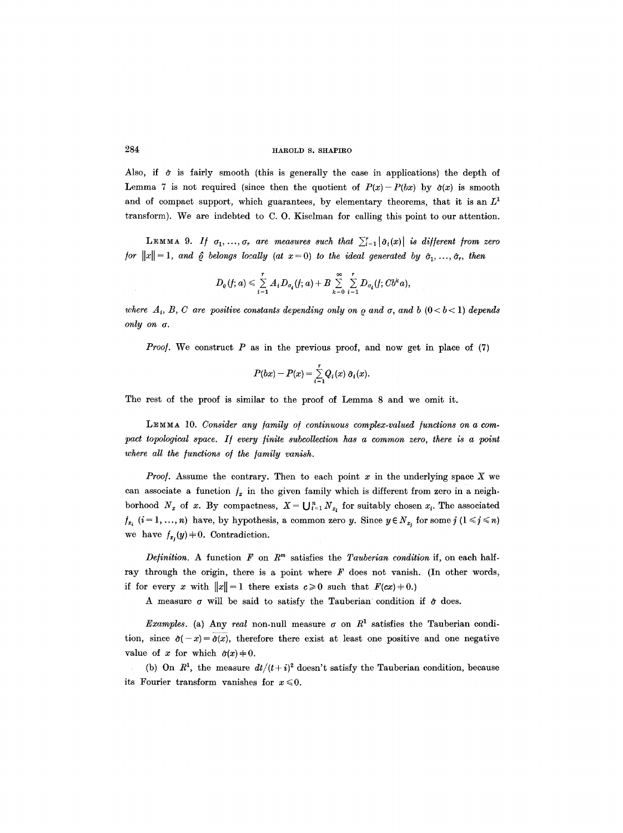Also, if  $\hat{\sigma}$  is fairly smooth (this is generally the case in applications) the depth of Lemma 7 is not required (since then the quotient of  $P(x)-P(bx)$  by  $\hat{\sigma}(x)$  is smooth and of compact support, which guarantees, by elementary theorems, that it is an  $L<sup>1</sup>$ transform). We are indebted to C. O. Kiselman for calling this point to our attention.

**LEMMA** 9. If  $\sigma_1, ..., \sigma_r$  are measures such that  $\sum_{i=1}^r |\hat{\sigma}_i(x)|$  is different from zero *for*  $||x|| = 1$ , and  $\hat{\rho}$  belongs locally (at  $x = 0$ ) to the ideal generated by  $\hat{\sigma}_1, \ldots, \hat{\sigma}_r$ , then

$$
D_{\varrho}(f; a) \leqslant \sum\limits_{i=1}^r A_i D_{\sigma_i}(f; a) + B \sum\limits_{k=0}^{\infty}\sum\limits_{i=1}^r D_{\sigma_i}(f; Cb^ka),
$$

*where*  $A_i$ ,  $B$ ,  $C$  are positive constants depending only on  $\varrho$  and  $\sigma$ , and  $b$   $(0 < b < 1)$  depends *only on a.* 

*Proof.* We construct  $P$  as in the previous proof, and now get in place of  $(7)$ 

$$
P(bx)-P(x)=\sum_{i=1}^r Q_i(x) \hat{\sigma}_i(x).
$$

The rest of the proof is similar to the proof of Lemma 8 and we omit it.

LEMMA 10. *Consider any family of continuous complex-valued functions on a compact topological space. If every finite subcollection has a common zero, there is a point where all the functions of the family vanish.* 

*Proof.* Assume the contrary. Then to each point  $x$  in the underlying space  $X$  we can associate a function  $f_x$  in the given family which is different from zero in a neighborhood  $N_x$  of x. By compactness,  $X = \bigcup_{i=1}^n N_{x_i}$  for suitably chosen  $x_i$ . The associated  $f_{x_i}$   $(i=1,\ldots,n)$  have, by hypothesis, a common zero y. Since  $y \in N_{x_i}$  for some  $j$   $(1 \leq i \leq n)$ we have  $f_{x_i}(y) = 0$ . Contradiction.

*Definition.* A function  $F$  on  $R<sup>m</sup>$  satisfies the *Tauberian condition* if, on each halfray through the origin, there is a point where  $F$  does not vanish. (In other words, if for every x with  $||x||=1$  there exists  $c\ge 0$  such that  $F(cx)\ne 0$ .)

A measure  $\sigma$  will be said to satisfy the Tauberian condition if  $\hat{\sigma}$  does.

*Examples.* (a) Any *real* non-null measure  $\sigma$  on  $R<sup>1</sup>$  satisfies the Tauberian condition, since  $\hat{\sigma}(-x) = \hat{\sigma}(x)$ , therefore there exist at least one positive and one negative value of x for which  $\hat{\sigma}(x) \neq 0$ .

(b) On  $R^1$ , the measure  $dt/(t + i)^2$  doesn't satisfy the Tauberian condition, because its Fourier transform vanishes for  $x \le 0$ .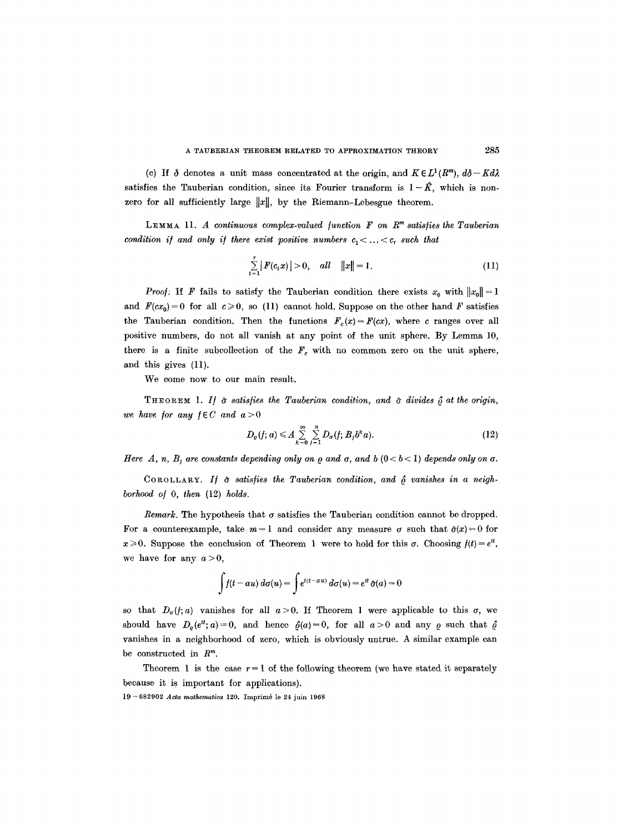(c) If  $\delta$  denotes a unit mass concentrated at the origin, and  $K \in L^1(R^m)$ ,  $d\delta - K d\lambda$ satisfies the Tauberian condition, since its Fourier transform is  $1-\hat{K}$ , which is nonzero for all sufficiently large  $||x||$ , by the Riemann-Lebesgue theorem.

LEMMA 11. *A continuous complex-valued function*  $F$  on  $R<sup>m</sup>$  satisfies the Tauberian *condition if and only if there exist positive numbers*  $c_1 < ... < c_r$  such that

$$
\sum_{i=1}^{r} |F(c_i x)| > 0, \quad all \quad ||x|| = 1.
$$
 (11)

*Proof:* If F fails to satisfy the Tauberian condition there exists  $x_0$  with  $||x_0|| = 1$ and  $F(cx_0)=0$  for all  $c\geq 0$ , so (11) cannot hold. Suppose on the other hand F satisfies the Tauberian condition. Then the functions  $F_c(x) = F(cx)$ , where c ranges over all positive numbers, do not all vanish at any point of the unit sphere. By Lemma 10, there is a finite subcollection of the  $F_c$  with no common zero on the unit sphere, and this gives (11).

We come now to our main result.

THEOREM 1. If  $\hat{\sigma}$  satisfies the Tauberian condition, and  $\hat{\sigma}$  divides  $\hat{\rho}$  at the origin, *we have for any*  $f \in C$  *and*  $a > 0$ 

$$
D_{\varrho}(f; a) \leqslant A \sum_{k=0}^{\infty} \sum_{j=1}^{n} D_{\sigma}(f; B_j b^k a). \tag{12}
$$

*Here A, n, B<sub>i</sub> are constants depending only on*  $\varrho$  *and*  $\sigma$ *, and*  $\varrho$  *(0 < b < 1) depends only on*  $\sigma$ *.* 

COROLLARY. If  $\hat{\sigma}$  satisfies the Tauberian condition, and  $\hat{\rho}$  vanishes in a neigh*borhood o/ O, then* (12) *holds.* 

*Remark.* The hypothesis that  $\sigma$  satisfies the Tauberian condition cannot be dropped. For a counterexample, take  $m=1$  and consider any measure  $\sigma$  such that  $\hat{\sigma}(x) = 0$  for  $x \ge 0$ . Suppose the conclusion of Theorem 1 were to hold for this  $\sigma$ . Choosing  $f(t) = e^{it}$ , we have for any  $a>0$ ,

$$
\int f(t - au) d\sigma(u) = \int e^{i(t - au)} d\sigma(u) = e^{it} \hat{\sigma}(a) = 0
$$

so that  $D_{\sigma}(f; a)$  vanishes for all  $a > 0$ . If Theorem 1 were applicable to this  $\sigma$ , we should have  $D_{\rho}(e^{it}; a) = 0$ , and hence  $\hat{\rho}(a) = 0$ , for all  $a > 0$  and any  $\rho$  such that  $\hat{\rho}$ vanishes in a neighborhood of zero, which is obviously untrue. A similar example can be constructed in  $R^m$ .

Theorem 1 is the case  $r = 1$  of the following theorem (we have stated it separately because it is important for applications).

19- 682902 *Acta mathematica* 120. Imprim6 le 24 juin 1968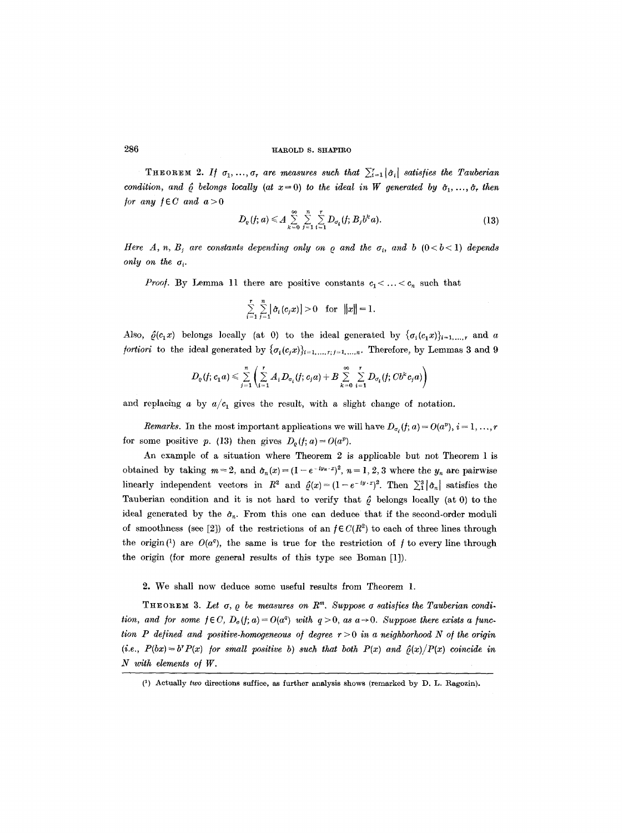THEOREM 2. If  $\sigma_1, ..., \sigma_r$  are measures such that  $\sum_{i=1}^r |\hat{\sigma}_i|$  satisfies the Tauberian *condition, and*  $\hat{\rho}$  *belongs locally (at*  $x=0$ *) to the ideal in W generated by*  $\hat{\sigma}_1, \ldots, \hat{\sigma}_r$  *then for any*  $f \in C$  *and*  $a > 0$ 

$$
D_{\varrho}(f; a) \leq A \sum_{k=0}^{\infty} \sum_{j=1}^{n} \sum_{i=1}^{r} D_{\sigma_i}(f; B_j b^k a).
$$
 (13)

*Here*  $A, n, B_j$  are constants depending only on  $\rho$  and the  $\sigma_i$ , and  $b$  ( $0 < b < 1$ ) depends *only on the*  $\sigma_i$ .

*Proof.* By Lemma 11 there are positive constants  $c_1$  < ... <  $c_n$  such that

$$
\sum_{i=1}^r \sum_{j=1}^n \left| \hat{\sigma}_i(c_j x) \right| > 0 \quad \text{for} \quad ||x|| = 1
$$

Also,  $\hat{\rho}(c_1x)$  belongs locally (at 0) to the ideal generated by  $\{\sigma_i(c_1x)\}_{i=1,\dots,r}$  and a *fortiori* to the ideal generated by  $\{\sigma_i(c,x)\}_{i=1,...,r; j=1,...,n}$ . Therefore, by Lemmas 3 and 9

$$
D_{\varrho}(f;c_{1}a)\leqslant \sum\limits_{j=1}^{n}\left(\sum\limits_{i=1}^{r}A_{i}D_{\sigma_{i}}(f;c_{j}a)+B\sum\limits_{k=0}^{\infty}\sum\limits_{i=1}^{r}D_{\sigma_{i}}(f;Cb^{k}c_{j}a)\right)
$$

and replacing a by  $a/c_1$  gives the result, with a slight change of notation.

*Remarks.* In the most important applications we will have  $D_{\sigma_i}(f; a) = O(a^p), i = 1, ..., r$ for some positive p. (13) then gives  $D_{\rho}(f; a) = O(a^p)$ .

An example of a situation where Theorem 2 is applicable but not Theorem 1 is obtained by taking  $m = 2$ , and  $\hat{\sigma}_n(x) = (1 - e^{-iy_n \cdot x})^2$ ,  $n = 1, 2, 3$  where the  $y_n$  are pairwise linearly independent vectors in  $R^2$  and  $\hat{\rho}(x)=(1-e^{-iy-x})^2$ . Then  $\sum_{i=1}^{3}|\hat{\sigma}_n|$  satisfies the Tauberian condition and it is not hard to verify that  $\hat{\rho}$  belongs locally (at 0) to the ideal generated by the  $\hat{\sigma}_n$ . From this one can deduce that if the second-order moduli of smoothness (see [2]) of the restrictions of an  $f \in C(R^2)$  to each of three lines through the origin<sup>(1)</sup> are  $O(a^q)$ , the same is true for the restriction of f to every line through the origin (for more general results of this type see Boman [1]).

## 2. We shall now deduce some useful results from Theorem 1.

THEOREM 3. Let  $\sigma$ ,  $\rho$  be measures on  $R^m$ . Suppose  $\sigma$  satisfies the Tauberian condi*tion, and for some*  $f \in C$ *,*  $D_o(f; a) = O(a^q)$  *with*  $q > 0$ *, as*  $a \rightarrow 0$ *. Suppose there exists a function P defined and positive-homogeneous of degree*  $r > 0$  *in a neighborhood N of the origin*  $(i.e., P(bx) = b^r P(x)$  *for small positive b) such that both P(x) and*  $\hat{\rho}(x)/P(x)$  *coincide in 2I with elements of W.* 

<sup>(1)</sup> Actually *two* directions suffice, as further analysis shows (remarked by D. L. Ragozin).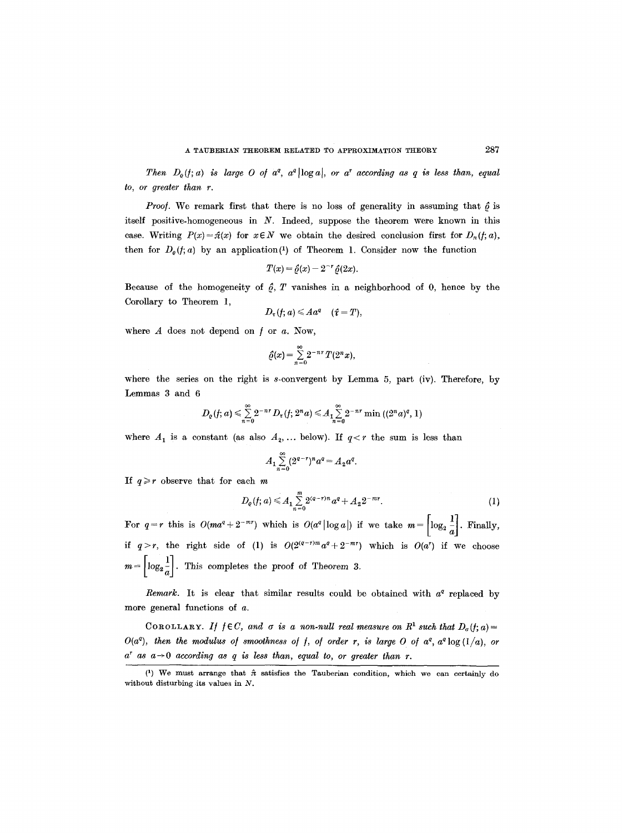*Then*  $D_{\varrho}(f; a)$  is large O of  $a^{\varrho}$ ,  $a^{\varrho}$  |log a|, or  $a^{\tau}$  according as q is less than, equal *to, or greater than r.* 

*Proof.* We remark first that there is no loss of generality in assuming that  $\hat{\rho}$  is itself positive-homogeneous in N. Indeed, suppose the theorem were known in this case. Writing  $P(x) = \hat{\pi}(x)$  for  $x \in N$  we obtain the desired conclusion first for  $D_{\pi}(f; a)$ , then for  $D_{\varrho}(f; a)$  by an application<sup>(1)</sup> of Theorem 1. Consider now the function

$$
T(x) = \hat{\varrho}(x) - 2^{-r} \hat{\varrho}(2x).
$$

Because of the homogeneity of  $\hat{\rho}$ , T vanishes in a neighborhood of 0, hence by the Corollary to Theorem 1,

$$
D_{\tau}(f; a) \leqslant A a^{q} \quad (\hat{\tau} = T),
$$

where  $A$  does not depend on  $f$  or  $a$ . Now,

$$
\hat{\varrho}(x) = \sum_{n=0}^{\infty} 2^{-nr} T(2^n x),
$$

where the series on the right is s-convergent by Lemma 5, part (iv). Therefore, by Lemmas 3 and 6

$$
D_e(f; a) \leq \sum_{n=0}^{\infty} 2^{-nr} D_r(f; 2^n a) \leq A_1 \sum_{n=0}^{\infty} 2^{-nr} \min((2^n a)^q, 1)
$$

where  $A_1$  is a constant (as also  $A_2, \ldots$  below). If  $q < r$  the sum is less than

$$
A_1 \sum_{n=0}^{\infty} (2^{q-r})^n a^q = A_2 a^q.
$$

If  $q \geq r$  observe that for each m

$$
D_{\varrho}(f; a) \leq A_1 \sum_{n=0}^{m} 2^{(a-r)n} a^q + A_2 2^{-mr}.
$$
 (1)

For  $q=r$  this is  $O(ma^{q}+2^{-m r})$  which is  $O(a^{q}|\log a|)$  if we take  $m=\left\lceil \log_{2}\frac{1}{a}\right\rceil$ . Finally, if  $q>r$ , the right side of (1) is  $O(2^{(q-r)m}a^q + 2^{-mr})$  which is  $O(a^r)$  if we choose  $m = \left\lceil \log_2 \frac{1}{a} \right\rceil$ . This completes the proof of Theorem 3.

*Remark.* It is clear that similar results could be obtained with  $a^q$  replaced by more general functions of a.

COROLLARY. *If*  $f \in C$ *, and*  $\sigma$  *is a non-null real measure on*  $R^1$  such that  $D_{\sigma}(f; a) =$  $O(a^q)$ , then the modulus of smoothness of f, of order r, is large O of  $a^q$ ,  $a^q \log(1/a)$ , or  $a^r$  as  $a \rightarrow 0$  according as q is less than, equal to, or greater than r.

<sup>(1)</sup> We must arrange that  $\hat{\pi}$  satisfies the Tauberian condition, which we can certainly do without disturbing its values in  $N$ .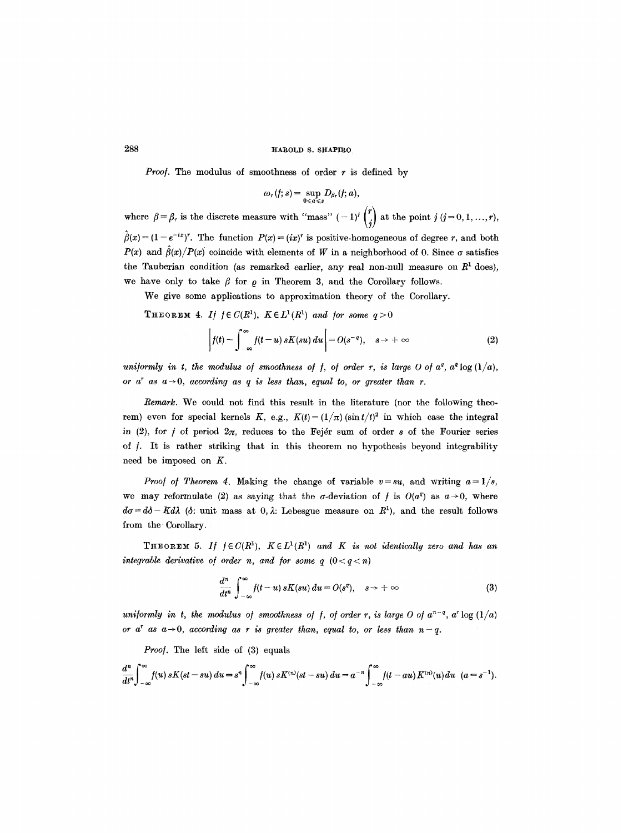*Proof.* The modulus of smoothness of order  $r$  is defined by

$$
\omega_r(f;s)=\sup_{0\leq a\leq s}D_{\beta_r}(f;a),
$$

where  $\beta = \beta_r$  is the discrete measure with "mass"  $(-1)^j$  (.) at the point  $j \ (j=0,1,\ldots,r)$ ,  $\hat{\beta}(x) = (1 - e^{-ix})^r$ . The function  $P(x) = (ix)^r$  is positive-homogeneous of degree r, and both  $P(x)$  and  $\hat{\beta}(x)/P(x)$  coincide with elements of W in a neighborhood of 0. Since  $\sigma$  satisfies the Tauberian condition (as remarked earlier, any real non-null measure on  $R<sup>1</sup>$  does), we have only to take  $\beta$  for  $\rho$  in Theorem 3, and the Corollary follows.

We give some applications to approximation theory of the Corollary.

**THEOREM 4.** *If*  $f \in C(R^1)$ *,*  $K \in L^1(R^1)$  *and for some*  $q > 0$ 

$$
\left|f(t)-\int_{-\infty}^{\infty}f(t-u)\,sK(su)\,du\right|=O(s^{-q}),\quad s\to+\infty\tag{2}
$$

uniformly in t, the modulus of smoothness of f, of order r, is large O of  $a^q$ ,  $a^q \log(1/a)$ , *or*  $a^r$  *as*  $a \rightarrow 0$ *, according as q is less than, equal to, or greater than r.* 

*Remark.* We could not find this result in the literature (nor the following theorem) even for special kernels K, e.g.,  $K(t) = (1/\pi)(\sin t/t)^2$  in which case the integral in (2), for  $f$  of period  $2\pi$ , reduces to the Fejer sum of order s of the Fourier series of  $f$ . It is rather striking that in this theorem no hypothesis beyond integrability need be imposed on K.

*Proof of Theorem 4.* Making the change of variable  $v=su$ , and writing  $a=1/s$ , we may reformulate (2) as saying that the  $\sigma$ -deviation of f is  $O(a^q)$  as  $a \rightarrow 0$ , where  $d\sigma = d\delta - K d\lambda$  ( $\delta$ : unit mass at 0,  $\lambda$ : Lebesgue measure on  $R^1$ ), and the result follows from the Corollary.

**THEOREM 5.** If  $f \in C(R^1)$ ,  $K \in L^1(R^1)$  and K is not identically zero and has an *integrable derivative of order n, and for some q*  $(0 < q < n)$ 

$$
\frac{d^n}{dt^n}\int_{-\infty}^{\infty}f(t-u)\,sK(su)\,du=O(s^q),\quad s\to+\infty\tag{3}
$$

*uniformly in t, the modulus of smoothness of f, of order r, is large O of*  $a^{n-q}$ ,  $a^r \log(1/a)$ *or a*<sup>*r*</sup> *as*  $a \rightarrow 0$ *, according as r is greater than, equal to, or less than*  $n-q$ *.* 

*Proof.* The left side of (3) equals

$$
\frac{d^n}{dt^n}\int_{-\infty}^{\infty}f(u)\,sK(st-su)\,du=s^n\int_{-\infty}^{\infty}f(u)\,sK^{(n)}(st-su)\,du=a^{-n}\int_{-\infty}^{\infty}f(t-au)\,K^{(n)}(u)\,du\quad(a=s^{-1}).
$$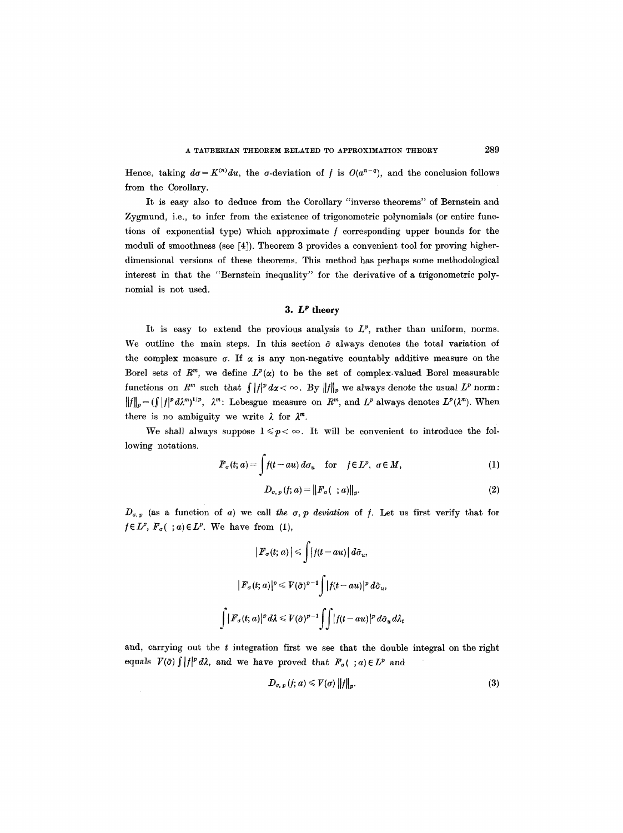Hence, taking  $d\sigma = K^{(n)}du$ , the  $\sigma$ -deviation of f is  $O(a^{n-q})$ , and the conclusion follows from the Corollary.

It is easy also to deduce from the Corollary "inverse theorems" of Bernstein and Zygmund, i.e., to infer from the existence of trigonometric polynomials (or entire functions of exponential type) which approximate / corresponding upper bounds for the moduli of smoothness (see [4]). Theorem 3 provides a convenient tool for proving higherdimensional versions of these theorems. This method has perhaps some methodological interest in that the "Bernstein inequality" for the derivative of a trigonometric polynomial is not used.

#### 3.  $L^p$  theory

It is easy to extend the provious analysis to  $L^p$ , rather than uniform, norms. We outline the main steps. In this section  $\tilde{\sigma}$  always denotes the total variation of the complex measure  $\sigma$ . If  $\alpha$  is any non-negative countably additive measure on the Borel sets of  $R^m$ , we define  $L^p(x)$  to be the set of complex-valued Borel measurable functions on  $R^m$  such that  $\int |f|^p dx < \infty$ . By  $||f||_p$  we always denote the usual  $L^p$  norm:  $||f||_p = (\int |f|^p d\lambda^m)^{1/p}$ ,  $\lambda^m$ : Lebesgue measure on  $R^m$ , and  $L^p$  always denotes  $L^p(\lambda^m)$ . When there is no ambiguity we write  $\lambda$  for  $\lambda^m$ .

We shall always suppose  $1 \leq p < \infty$ . It will be convenient to introduce the following notations.

$$
F_{\sigma}(t; a) = \int f(t - au) d\sigma_u \quad \text{for} \quad f \in L^p, \ \sigma \in M,
$$
 (1)

$$
D_{\sigma,\,p}(f;\,a) = \|F_{\sigma}(\,\,;a)\|_{p}.\tag{2}
$$

 $D_{\sigma,\,p}$  (as a function of a) we call the  $\sigma,\,p$  deviation of f. Let us first verify that for  $f \in L^p$ ,  $F_\sigma(\cdot; a) \in L^p$ . We have from (1),

$$
|F_{\sigma}(t; a)| \leqslant \int |f(t - au)| d\tilde{\sigma}_{u},
$$
  

$$
|F_{\sigma}(t; a)|^{p} \leqslant V(\tilde{\sigma})^{p-1} \int |f(t - au)|^{p} d\tilde{\sigma}_{u},
$$
  

$$
\int |F_{\sigma}(t; a)|^{p} d\lambda \leqslant V(\tilde{\sigma})^{p-1} \int \int |f(t - au)|^{p} d\tilde{\sigma}_{u} d\lambda_{t}
$$

and, carrying out the  $t$  integration first we see that the double integral on the right equals  $V(\tilde{\sigma}) \int |f|^p d\lambda$ , and we have proved that  $F_{\sigma}(\cdot; a) \in L^p$  and

$$
D_{\sigma,\,p}(f;\,a) \leqslant V(\sigma)\,\|f\|_p.\tag{3}
$$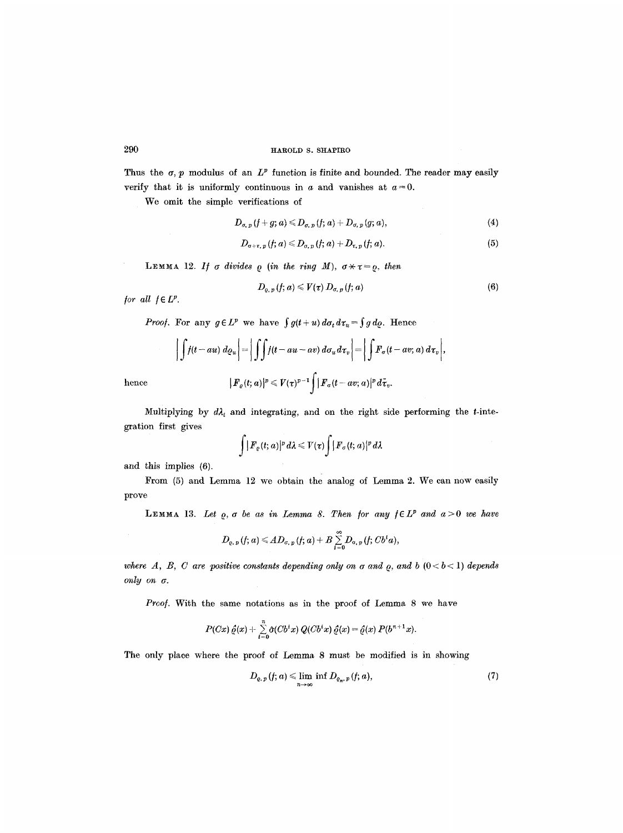Thus the  $\sigma$ , p modulus of an  $L^p$  function is finite and bounded. The reader may easily verify that it is uniformly continuous in  $a$  and vanishes at  $a = 0$ .

We omit the simple verifications of

$$
D_{\sigma,\,p}(f+g;a)\leqslant D_{\sigma,\,p}(f;\,a)+D_{\sigma,\,p}(g;\,a),\qquad \qquad (4)
$$

$$
D_{\sigma+\tau,\,p}(f;a)\leq D_{\sigma,\,p}(f;a)+D_{\tau,\,p}(f;a). \qquad (5)
$$

LEMMA 12. *If*  $\sigma$  *divides*  $\rho$  *(in the ring M),*  $\sigma \times \tau = \rho$ , then

$$
D_{\varrho,\,p}(f;a)\leqslant V(\tau)\,D_{\sigma,\,p}(f;a)\tag{6}
$$

*for all*  $f \in L^p$ *.* 

*Proof.* For any  $g \in L^p$  we have  $\int g(t+u) d\sigma_t d\tau_u = \int g d\rho$ . Hence

$$
\left|\int f(t - au)\ d\varrho_u\right| = \left|\int \int f(t - au - av)\ d\sigma_u d\tau_v\right| = \left|\int F_\sigma(t - av; a)\ d\tau_v\right|,
$$
  
hence 
$$
|F_\varrho(t; a)|^p \le V(\tau)^{p-1} \int |F_\sigma(t - av; a)|^p d\tilde{\tau}_v.
$$

Multiplying by  $d\lambda_t$  and integrating, and on the right side performing the t-integration first gives

$$
\int |F_e(t; a)|^p d\lambda \leqslant V(\tau) \int |F_\sigma(t; a)|^p d\lambda
$$

and this implies (6).

From (5) and Lemma 12 we obtain the analog of Lemma 2. We can now easily prove

**LEMMA** 13. Let  $Q$ ,  $\sigma$  be as in Lemma 8. Then for any  $f \in L^p$  and  $a > 0$  we have

$$
D_{\varrho,\,p}(f;a)\leqslant A D_{\sigma,\,p}(f;a)+B\sum_{i=0}^{\infty}D_{\sigma,\,p}(f;Cb^ia),
$$

*where A, B, C are positive constants depending only on*  $\sigma$  *and*  $\rho$ *, and b* ( $0 < b < 1$ ) *depends* only on  $\sigma$ .

*Proof.* With the same notations as in the proof of Lemma 8 we have

$$
P(Cx) \hat{\varrho}(x) + \sum_{i=0}^n \hat{\sigma}(Cb^ix) Q(Cb^ix) \hat{\varrho}(x) = \hat{\varrho}(x) P(b^{n+1}x).
$$

The only place where the proof of Lemma 8 must be modified is in showing

$$
D_{\varrho,\,p}(f;\,a)\leqslant\lim_{n\to\infty}\inf D_{\varrho_n,\,p}(f;\,a),\qquad \qquad (7)
$$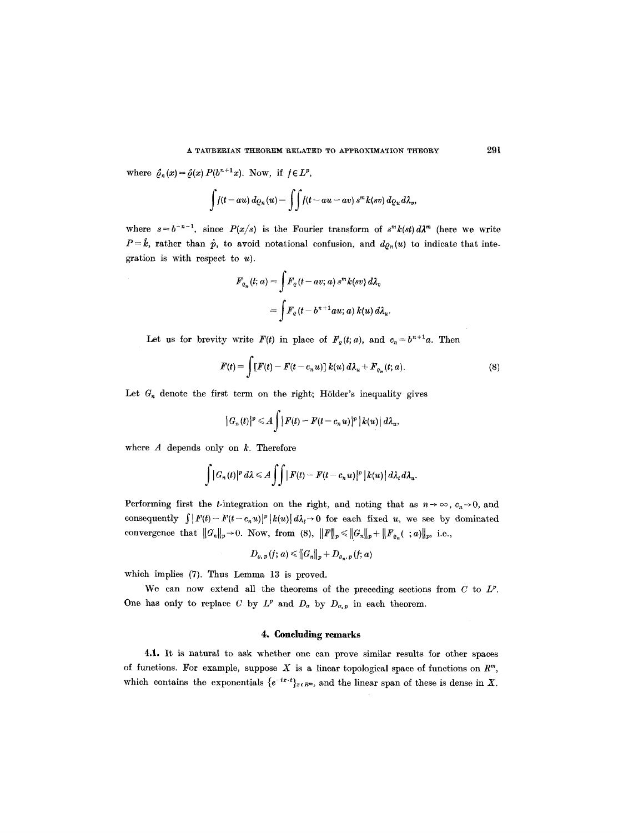where  $\hat{\varrho}_n(x) = \hat{\varrho}(x) P(b^{n+1}x)$ . Now, if  $f \in L^p$ ,

$$
\int f(t - au) d\varrho_n(u) = \int \int f(t - au - av) s^m k(sv) d\varrho_u d\lambda_v,
$$

where  $s=b^{-n-1}$ , since  $P(x/s)$  is the Fourier transform of  $s^m k(st) d\lambda^m$  (here we write  $P = \hat{k}$ , rather than  $\hat{p}$ , to avoid notational confusion, and  $d\rho_n(u)$  to indicate that integration is with respect to  $u$ ).

$$
F_{o_n}(t; a) = \int F_o(t - av; a) s^m k(sv) d\lambda_v
$$
  
= 
$$
\int F_o(t - b^{n+1}au; a) k(u) d\lambda_u.
$$

Let us for brevity write  $F(t)$  in place of  $F_e(t; a)$ , and  $c_n = b^{n+1}a$ . Then

$$
F(t) = \int [F(t) - F(t - c_n u)] k(u) d\lambda_u + F_{e_n}(t; a).
$$
\n(8)

Let  $G_n$  denote the first term on the right; Hölder's inequality gives

$$
|G_n(t)|^p \leq A \int |F(t)-F(t-c_n u)|^p |k(u)| d\lambda_u,
$$

where  $A$  depends only on  $k$ . Therefore

$$
\int |G_n(t)|^p d\lambda \leq A \int \int |F(t)-F(t-c_n u)|^p |k(u)| d\lambda_t d\lambda_u.
$$

Performing first the *t*-integration on the right, and noting that as  $n \to \infty$ ,  $c_n \to 0$ , and consequently  $\int |F(t)-F(t-c_n u)|^p |k(u)| d\lambda_t \to 0$  for each fixed u, we see by dominated convergence that  $||G_n||_p \to 0$ . Now, from (8),  $||F||_p \le ||G_n||_p + ||F_{\varrho_n}( ; a)||_p$ , i.e.,

$$
D_{\varrho,\,p}(f;\,a) \leq \left\|G_n\right\|_p + D_{\varrho_n,\,p}(f;\,a)
$$

which implies (7). Thus Lemma 13 is proved.

We can now extend all the theorems of the preceding sections from  $C$  to  $L^p$ . One has only to replace C by  $L^p$  and  $D_{\sigma}$  by  $D_{\sigma,p}$  in each theorem.

#### **4. Concluding remarks**

4.1. It is natural to ask whether one can prove similar results for other spaces of functions. For example, suppose X is a linear topological space of functions on  $R^m$ , which contains the exponentials  $\{e^{-ix\cdot t}\}_{x\in R^m}$ , and the linear span of these is dense in X.